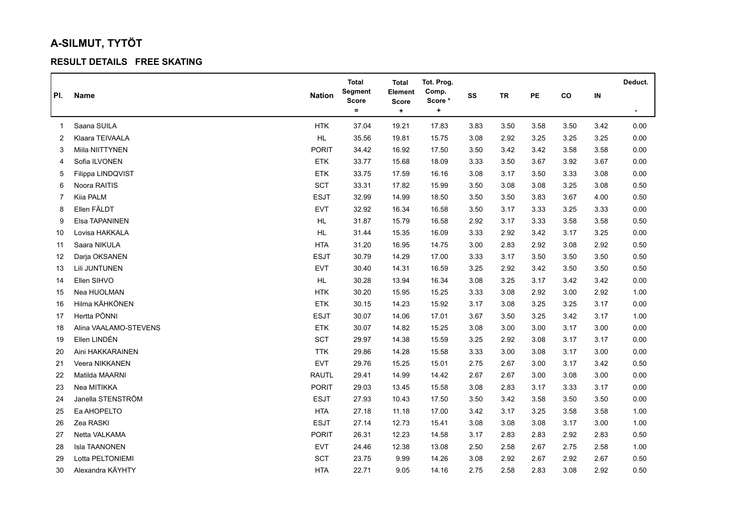## **A-SILMUT, TYTÖT**

## **RESULT DETAILS FREE SKATING**

|     |                       |               | <b>Total</b>            | <b>Total</b>            | Tot. Prog.      |      |           |      |      |      | Deduct.        |
|-----|-----------------------|---------------|-------------------------|-------------------------|-----------------|------|-----------|------|------|------|----------------|
| PI. | Name                  | <b>Nation</b> | Segment<br><b>Score</b> | Element<br><b>Score</b> | Comp.<br>Score* | SS   | <b>TR</b> | PE   | co   | IN   |                |
|     |                       |               | $\equiv$                | $\ddot{}$               | $\ddot{}$       |      |           |      |      |      | $\blacksquare$ |
| 1   | Saana SUILA           | <b>HTK</b>    | 37.04                   | 19.21                   | 17.83           | 3.83 | 3.50      | 3.58 | 3.50 | 3.42 | 0.00           |
| 2   | Klaara TEIVAALA       | HL            | 35.56                   | 19.81                   | 15.75           | 3.08 | 2.92      | 3.25 | 3.25 | 3.25 | 0.00           |
| 3   | Miila NIITTYNEN       | <b>PORIT</b>  | 34.42                   | 16.92                   | 17.50           | 3.50 | 3.42      | 3.42 | 3.58 | 3.58 | 0.00           |
| 4   | Sofia ILVONEN         | <b>ETK</b>    | 33.77                   | 15.68                   | 18.09           | 3.33 | 3.50      | 3.67 | 3.92 | 3.67 | 0.00           |
| 5   | Filippa LINDQVIST     | <b>ETK</b>    | 33.75                   | 17.59                   | 16.16           | 3.08 | 3.17      | 3.50 | 3.33 | 3.08 | 0.00           |
| 6   | Noora RAITIS          | SCT           | 33.31                   | 17.82                   | 15.99           | 3.50 | 3.08      | 3.08 | 3.25 | 3.08 | 0.50           |
| 7   | Kiia PALM             | <b>ESJT</b>   | 32.99                   | 14.99                   | 18.50           | 3.50 | 3.50      | 3.83 | 3.67 | 4.00 | 0.50           |
| 8   | Ellen FÄLDT           | <b>EVT</b>    | 32.92                   | 16.34                   | 16.58           | 3.50 | 3.17      | 3.33 | 3.25 | 3.33 | 0.00           |
| 9   | Elsa TAPANINEN        | <b>HL</b>     | 31.87                   | 15.79                   | 16.58           | 2.92 | 3.17      | 3.33 | 3.58 | 3.58 | 0.50           |
| 10  | Lovisa HAKKALA        | HL            | 31.44                   | 15.35                   | 16.09           | 3.33 | 2.92      | 3.42 | 3.17 | 3.25 | 0.00           |
| 11  | Saara NIKULA          | <b>HTA</b>    | 31.20                   | 16.95                   | 14.75           | 3.00 | 2.83      | 2.92 | 3.08 | 2.92 | 0.50           |
| 12  | Darja OKSANEN         | <b>ESJT</b>   | 30.79                   | 14.29                   | 17.00           | 3.33 | 3.17      | 3.50 | 3.50 | 3.50 | 0.50           |
| 13  | Lili JUNTUNEN         | <b>EVT</b>    | 30.40                   | 14.31                   | 16.59           | 3.25 | 2.92      | 3.42 | 3.50 | 3.50 | 0.50           |
| 14  | Ellen SIHVO           | HL            | 30.28                   | 13.94                   | 16.34           | 3.08 | 3.25      | 3.17 | 3.42 | 3.42 | 0.00           |
| 15  | Nea HUOLMAN           | <b>HTK</b>    | 30.20                   | 15.95                   | 15.25           | 3.33 | 3.08      | 2.92 | 3.00 | 2.92 | 1.00           |
| 16  | Hilma KÄHKÖNEN        | <b>ETK</b>    | 30.15                   | 14.23                   | 15.92           | 3.17 | 3.08      | 3.25 | 3.25 | 3.17 | 0.00           |
| 17  | Hertta PÖNNI          | <b>ESJT</b>   | 30.07                   | 14.06                   | 17.01           | 3.67 | 3.50      | 3.25 | 3.42 | 3.17 | 1.00           |
| 18  | Alina VAALAMO-STEVENS | <b>ETK</b>    | 30.07                   | 14.82                   | 15.25           | 3.08 | 3.00      | 3.00 | 3.17 | 3.00 | 0.00           |
| 19  | Ellen LINDÉN          | <b>SCT</b>    | 29.97                   | 14.38                   | 15.59           | 3.25 | 2.92      | 3.08 | 3.17 | 3.17 | 0.00           |
| 20  | Aini HAKKARAINEN      | <b>TTK</b>    | 29.86                   | 14.28                   | 15.58           | 3.33 | 3.00      | 3.08 | 3.17 | 3.00 | 0.00           |
| 21  | Veera NIKKANEN        | <b>EVT</b>    | 29.76                   | 15.25                   | 15.01           | 2.75 | 2.67      | 3.00 | 3.17 | 3.42 | 0.50           |
| 22  | Matilda MAARNI        | <b>RAUTL</b>  | 29.41                   | 14.99                   | 14.42           | 2.67 | 2.67      | 3.00 | 3.08 | 3.00 | 0.00           |
| 23  | Nea MITIKKA           | <b>PORIT</b>  | 29.03                   | 13.45                   | 15.58           | 3.08 | 2.83      | 3.17 | 3.33 | 3.17 | 0.00           |
| 24  | Janella STENSTRÖM     | <b>ESJT</b>   | 27.93                   | 10.43                   | 17.50           | 3.50 | 3.42      | 3.58 | 3.50 | 3.50 | 0.00           |
| 25  | Ea AHOPELTO           | <b>HTA</b>    | 27.18                   | 11.18                   | 17.00           | 3.42 | 3.17      | 3.25 | 3.58 | 3.58 | 1.00           |
| 26  | Zea RASKI             | <b>ESJT</b>   | 27.14                   | 12.73                   | 15.41           | 3.08 | 3.08      | 3.08 | 3.17 | 3.00 | 1.00           |
| 27  | Netta VALKAMA         | <b>PORIT</b>  | 26.31                   | 12.23                   | 14.58           | 3.17 | 2.83      | 2.83 | 2.92 | 2.83 | 0.50           |
| 28  | Isla TAANONEN         | <b>EVT</b>    | 24.46                   | 12.38                   | 13.08           | 2.50 | 2.58      | 2.67 | 2.75 | 2.58 | 1.00           |
| 29  | Lotta PELTONIEMI      | <b>SCT</b>    | 23.75                   | 9.99                    | 14.26           | 3.08 | 2.92      | 2.67 | 2.92 | 2.67 | 0.50           |
| 30  | Alexandra KÄYHTY      | <b>HTA</b>    | 22.71                   | 9.05                    | 14.16           | 2.75 | 2.58      | 2.83 | 3.08 | 2.92 | 0.50           |